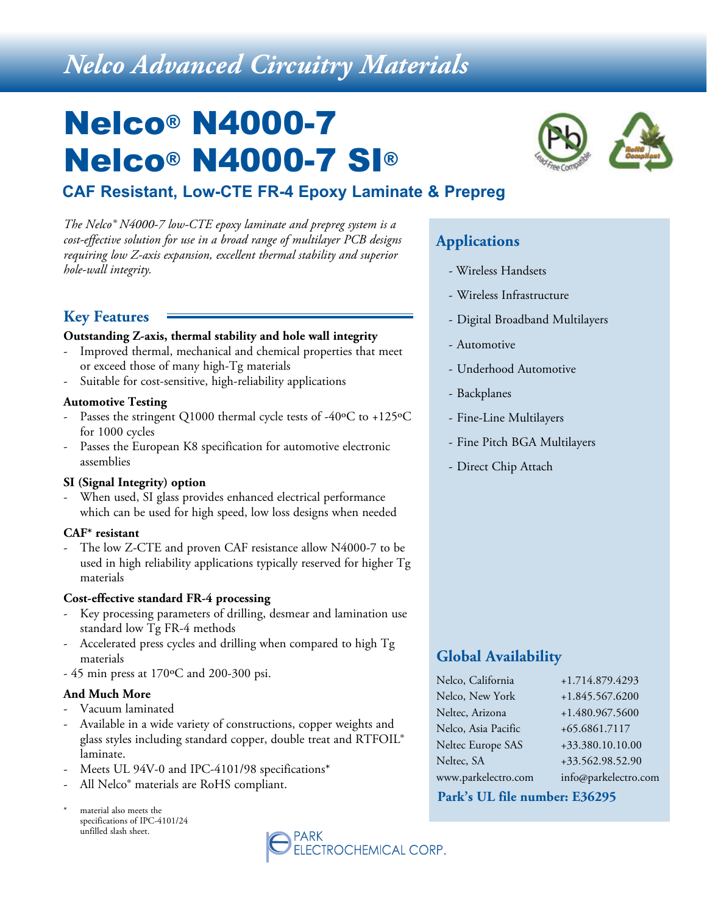# *Nelco Advanced Circuitry Materials*

# Nelco® N4000-7 Nelco® N4000-7 SI®

# **CAF Resistant, Low-CTE FR-4 Epoxy Laminate & Prepreg**

*The Nelco® N4000-7 low-CTE epoxy laminate and prepreg system is a cost-effective solution for use in a broad range of multilayer PCB designs requiring low Z-axis expansion, excellent thermal stability and superior hole-wall integrity.*

### **Key Features**

#### **Outstanding Z-axis, thermal stability and hole wall integrity**

- Improved thermal, mechanical and chemical properties that meet or exceed those of many high-Tg materials
- Suitable for cost-sensitive, high-reliability applications

#### **Automotive Testing**

- Passes the stringent Q1000 thermal cycle tests of -40 $\rm ^oC$  to +125 $\rm ^oC$ for 1000 cycles
- Passes the European K8 specification for automotive electronic assemblies

#### **SI (Signal Integrity) option**

When used, SI glass provides enhanced electrical performance which can be used for high speed, low loss designs when needed

#### **CAF\* resistant**

The low Z-CTE and proven CAF resistance allow N4000-7 to be used in high reliability applications typically reserved for higher Tg materials

#### **Cost-effective standard FR-4 processing**

- Key processing parameters of drilling, desmear and lamination use standard low Tg FR-4 methods
- Accelerated press cycles and drilling when compared to high Tg materials
- 45 min press at 170ºC and 200-300 psi.

#### **And Much More**

- Vacuum laminated
- Available in a wide variety of constructions, copper weights and glass styles including standard copper, double treat and RTFOIL® laminate.
- Meets UL 94V-0 and IPC-4101/98 specifications\*
- All Nelco® materials are RoHS compliant.
- material also meets the specifications of IPC-4101/24 unfilled slash sheet.





# **Applications**

- Wireless Handsets
- Wireless Infrastructure
- Digital Broadband Multilayers
- Automotive
- Underhood Automotive
- Backplanes
- Fine-Line Multilayers
- Fine Pitch BGA Multilayers
- Direct Chip Attach

## **Global Availability**

| Nelco, California   | +1.714.879.4293      |
|---------------------|----------------------|
| Nelco, New York     | +1.845.567.6200      |
| Neltec, Arizona     | +1.480.967.5600      |
| Nelco, Asia Pacific | +65.6861.7117        |
| Neltec Europe SAS   | +33.380.10.10.00     |
| Neltec, SA          | +33.562.98.52.90     |
| www.parkelectro.com | info@parkelectro.com |

#### **Park's UL file number: E36295**